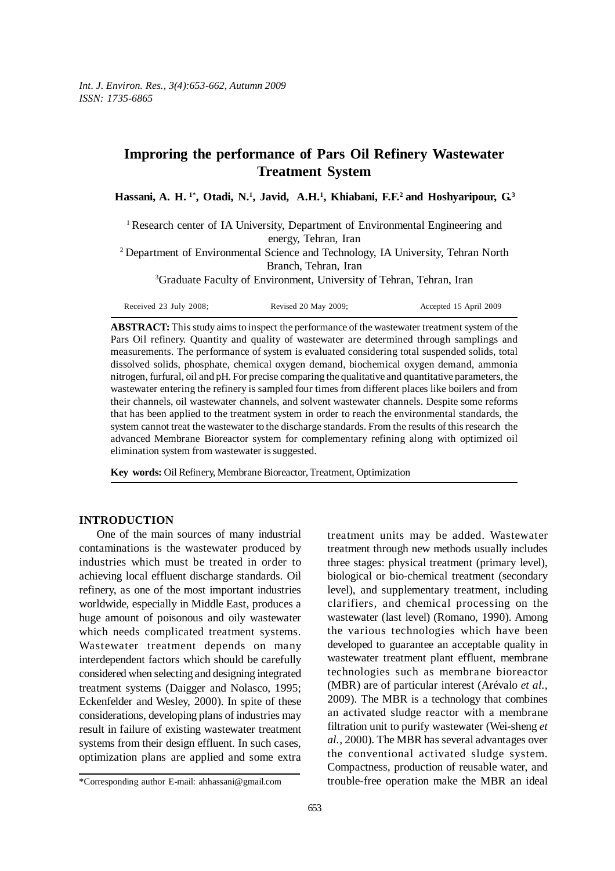# **Improring the performance of Pars Oil Refinery Wastewater Treatment System**

Hassani, A. H.<sup>1\*</sup>, Otadi, N.<sup>1</sup>, Javid, A.H.<sup>1</sup>, Khiabani, F.F.<sup>2</sup> and Hoshyaripour, G.<sup>3</sup>

<sup>1</sup> Research center of IA University, Department of Environmental Engineering and energy, Tehran, Iran

<sup>2</sup> Department of Environmental Science and Technology, IA University, Tehran North Branch, Tehran, Iran

<sup>3</sup>Graduate Faculty of Environment, University of Tehran, Tehran, Iran

| Received 23 July 2008; | Revised 20 May 2009; | Accepted 15 April 2009 |
|------------------------|----------------------|------------------------|
|------------------------|----------------------|------------------------|

**ABSTRACT:** This study aims to inspect the performance of the wastewater treatment system of the Pars Oil refinery. Quantity and quality of wastewater are determined through samplings and measurements. The performance of system is evaluated considering total suspended solids, total dissolved solids, phosphate, chemical oxygen demand, biochemical oxygen demand, ammonia nitrogen, furfural, oil and pH. For precise comparing the qualitative and quantitative parameters, the wastewater entering the refinery is sampled four times from different places like boilers and from their channels, oil wastewater channels, and solvent wastewater channels. Despite some reforms that has been applied to the treatment system in order to reach the environmental standards, the system cannot treat the wastewater to the discharge standards. From the results of this research the advanced Membrane Bioreactor system for complementary refining along with optimized oil elimination system from wastewater is suggested.

**Key words:** Oil Refinery, Membrane Bioreactor, Treatment, Optimization

#### **INTRODUCTION**

One of the main sources of many industrial contaminations is the wastewater produced by industries which must be treated in order to achieving local effluent discharge standards. Oil refinery, as one of the most important industries worldwide, especially in Middle East, produces a huge amount of poisonous and oily wastewater which needs complicated treatment systems. Wastewater treatment depends on many interdependent factors which should be carefully considered when selecting and designing integrated treatment systems (Daigger and Nolasco, 1995; Eckenfelder and Wesley, 2000). In spite of these considerations, developing plans of industries may result in failure of existing wastewater treatment systems from their design effluent. In such cases, optimization plans are applied and some extra treatment units may be added. Wastewater treatment through new methods usually includes three stages: physical treatment (primary level), biological or bio-chemical treatment (secondary level), and supplementary treatment, including clarifiers, and chemical processing on the wastewater (last level) (Romano, 1990). Among the various technologies which have been developed to guarantee an acceptable quality in wastewater treatment plant effluent, membrane technologies such as membrane bioreactor (MBR) are of particular interest (Arévalo *et al.,* 2009). The MBR is a technology that combines an activated sludge reactor with a membrane filtration unit to purify wastewater (Wei-sheng *et al.,* 2000). The MBR has several advantages over the conventional activated sludge system. Compactness, production of reusable water, and trouble-free operation make the MBR an ideal

<sup>\*</sup>Corresponding author E-mail: ahhassani@gmail.com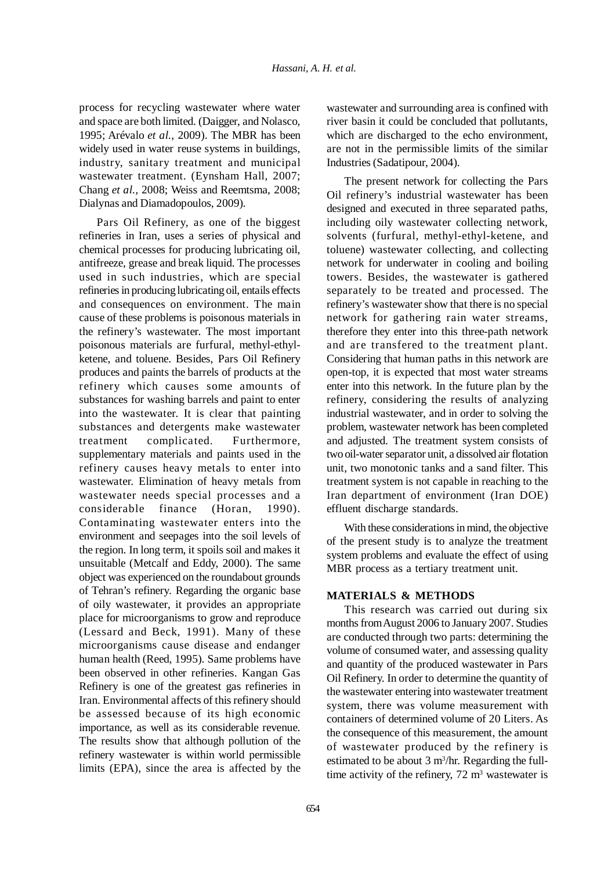process for recycling wastewater where water and space are both limited. (Daigger, and Nolasco, 1995; Arévalo *et al.,* 2009). The MBR has been widely used in water reuse systems in buildings, industry, sanitary treatment and municipal wastewater treatment. (Eynsham Hall, 2007; Chang *et al.,* 2008; Weiss and Reemtsma, 2008; Dialynas and Diamadopoulos, 2009).

Pars Oil Refinery, as one of the biggest refineries in Iran, uses a series of physical and chemical processes for producing lubricating oil, antifreeze, grease and break liquid. The processes used in such industries, which are special refineries in producing lubricating oil, entails effects and consequences on environment. The main cause of these problems is poisonous materials in the refinery's wastewater. The most important poisonous materials are furfural, methyl-ethylketene, and toluene. Besides, Pars Oil Refinery produces and paints the barrels of products at the refinery which causes some amounts of substances for washing barrels and paint to enter into the wastewater. It is clear that painting substances and detergents make wastewater treatment complicated. Furthermore, supplementary materials and paints used in the refinery causes heavy metals to enter into wastewater. Elimination of heavy metals from wastewater needs special processes and a considerable finance (Horan, 1990). Contaminating wastewater enters into the environment and seepages into the soil levels of the region. In long term, it spoils soil and makes it unsuitable (Metcalf and Eddy, 2000). The same object was experienced on the roundabout grounds of Tehran's refinery. Regarding the organic base of oily wastewater, it provides an appropriate place for microorganisms to grow and reproduce (Lessard and Beck, 1991). Many of these microorganisms cause disease and endanger human health (Reed, 1995). Same problems have been observed in other refineries. Kangan Gas Refinery is one of the greatest gas refineries in Iran. Environmental affects of this refinery should be assessed because of its high economic importance, as well as its considerable revenue. The results show that although pollution of the refinery wastewater is within world permissible limits (EPA), since the area is affected by the wastewater and surrounding area is confined with river basin it could be concluded that pollutants, which are discharged to the echo environment, are not in the permissible limits of the similar Industries (Sadatipour, 2004).

The present network for collecting the Pars Oil refinery's industrial wastewater has been designed and executed in three separated paths, including oily wastewater collecting network, solvents (furfural, methyl-ethyl-ketene, and toluene) wastewater collecting, and collecting network for underwater in cooling and boiling towers. Besides, the wastewater is gathered separately to be treated and processed. The refinery's wastewater show that there is no special network for gathering rain water streams, therefore they enter into this three-path network and are transfered to the treatment plant. Considering that human paths in this network are open-top, it is expected that most water streams enter into this network. In the future plan by the refinery, considering the results of analyzing industrial wastewater, and in order to solving the problem, wastewater network has been completed and adjusted. The treatment system consists of two oil-water separator unit, a dissolved air flotation unit, two monotonic tanks and a sand filter. This treatment system is not capable in reaching to the Iran department of environment (Iran DOE) effluent discharge standards.

With these considerations in mind, the objective of the present study is to analyze the treatment system problems and evaluate the effect of using MBR process as a tertiary treatment unit.

## **MATERIALS & METHODS**

This research was carried out during six months from August 2006 to January 2007. Studies are conducted through two parts: determining the volume of consumed water, and assessing quality and quantity of the produced wastewater in Pars Oil Refinery. In order to determine the quantity of the wastewater entering into wastewater treatment system, there was volume measurement with containers of determined volume of 20 Liters. As the consequence of this measurement, the amount of wastewater produced by the refinery is estimated to be about  $3 \text{ m}^3/\text{hr}$ . Regarding the fulltime activity of the refinery,  $72 \text{ m}^3$  wastewater is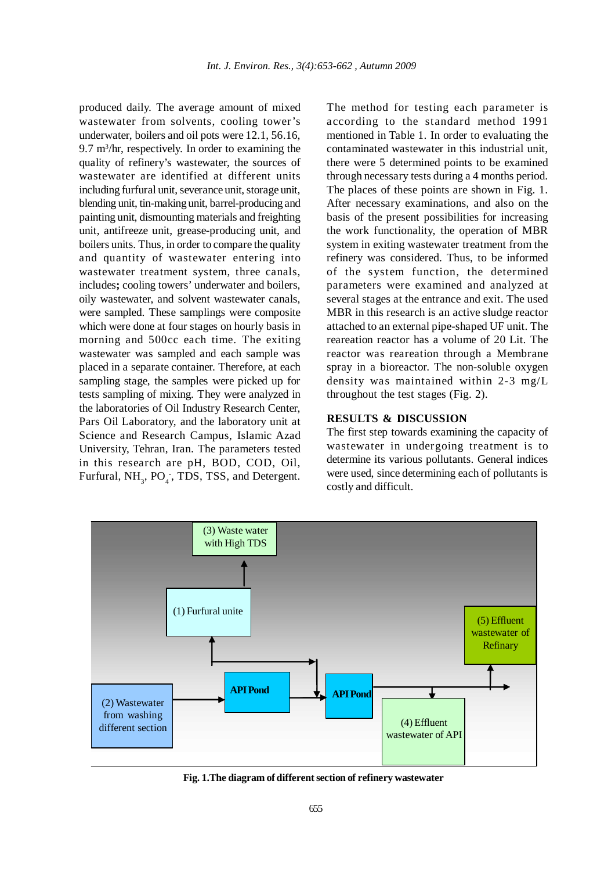produced daily. The average amount of mixed wastewater from solvents, cooling tower's underwater, boilers and oil pots were 12.1, 56.16, 9.7 m<sup>3</sup>/hr, respectively. In order to examining the quality of refinery's wastewater, the sources of wastewater are identified at different units including furfural unit, severance unit, storage unit, blending unit, tin-making unit, barrel-producing and painting unit, dismounting materials and freighting unit, antifreeze unit, grease-producing unit, and boilers units. Thus, in order to compare the quality and quantity of wastewater entering into wastewater treatment system, three canals, includes**;** cooling towers' underwater and boilers, oily wastewater, and solvent wastewater canals, were sampled. These samplings were composite which were done at four stages on hourly basis in morning and 500cc each time. The exiting wastewater was sampled and each sample was placed in a separate container. Therefore, at each sampling stage, the samples were picked up for tests sampling of mixing. They were analyzed in the laboratories of Oil Industry Research Center, Pars Oil Laboratory, and the laboratory unit at Science and Research Campus, Islamic Azad University, Tehran, Iran. The parameters tested in this research are pH, BOD, COD, Oil, Furfural,  $NH<sub>3</sub>$ , PO<sub>4</sub><sup>-</sup>, TDS, TSS, and Detergent.

The method for testing each parameter is according to the standard method 1991 mentioned in Table 1. In order to evaluating the contaminated wastewater in this industrial unit, there were 5 determined points to be examined through necessary tests during a 4 months period. The places of these points are shown in Fig. 1. After necessary examinations, and also on the basis of the present possibilities for increasing the work functionality, the operation of MBR system in exiting wastewater treatment from the refinery was considered. Thus, to be informed of the system function, the determined parameters were examined and analyzed at several stages at the entrance and exit. The used MBR in this research is an active sludge reactor attached to an external pipe-shaped UF unit. The reareation reactor has a volume of 20 Lit. The reactor was reareation through a Membrane spray in a bioreactor. The non-soluble oxygen density was maintained within 2-3 mg/L throughout the test stages (Fig. 2).

#### **RESULTS & DISCUSSION**

The first step towards examining the capacity of wastewater in undergoing treatment is to determine its various pollutants. General indices were used, since determining each of pollutants is costly and difficult.



**Fig. 1.The diagram of different section of refinery wastewater**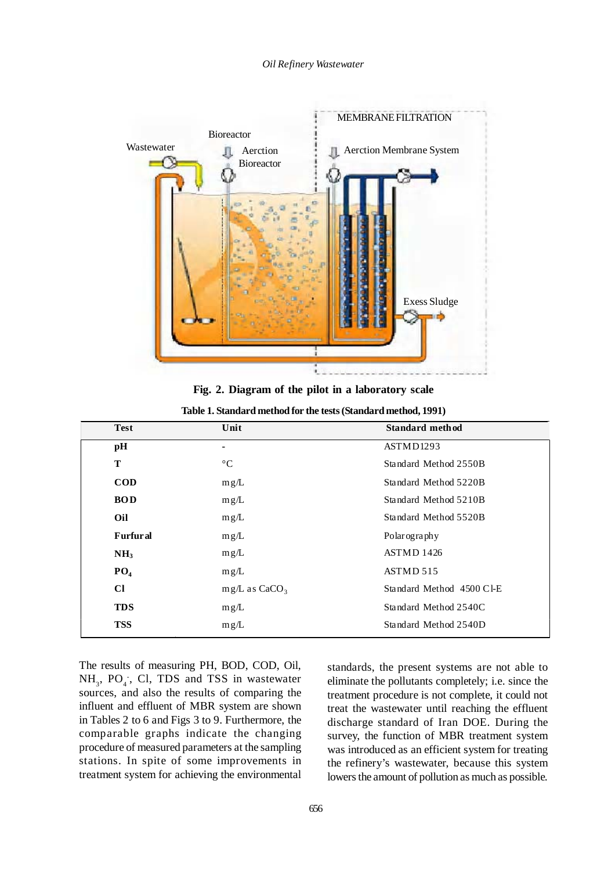

**Fig. 2. Diagram of the pilot in a laboratory scale**

| <b>Test</b>     | Unit                        | <b>Standard method</b>    |
|-----------------|-----------------------------|---------------------------|
| pH              | $\blacksquare$              | ASTMD1293                 |
| T               | $\rm ^{\circ}C$             | Standard Method 2550B     |
| <b>COD</b>      | mg/L                        | Standard Method 5220B     |
| <b>BOD</b>      | mg/L                        | Standard Method 5210B     |
| Oil             | mg/L                        | Standard Method 5520B     |
| <b>Furfural</b> | mg/L                        | Polarography              |
| NH <sub>3</sub> | mg/L                        | ASTMD 1426                |
| PO <sub>4</sub> | mg/L                        | ASTMD 515                 |
| <b>CI</b>       | $mg/L$ as CaCO <sub>3</sub> | Standard Method 4500 Cl-E |
| <b>TDS</b>      | mg/L                        | Standard Method 2540C     |
| <b>TSS</b>      | mg/L                        | Standard Method 2540D     |

The results of measuring PH, BOD, COD, Oil,  $NH<sub>3</sub>$ , PO<sub>4</sub>, Cl, TDS and TSS in wastewater sources, and also the results of comparing the influent and effluent of MBR system are shown in Tables 2 to 6 and Figs 3 to 9. Furthermore, the comparable graphs indicate the changing procedure of measured parameters at the sampling stations. In spite of some improvements in treatment system for achieving the environmental

standards, the present systems are not able to eliminate the pollutants completely; i.e. since the treatment procedure is not complete, it could not treat the wastewater until reaching the effluent discharge standard of Iran DOE. During the survey, the function of MBR treatment system was introduced as an efficient system for treating the refinery's wastewater, because this system lowers the amount of pollution as much as possible.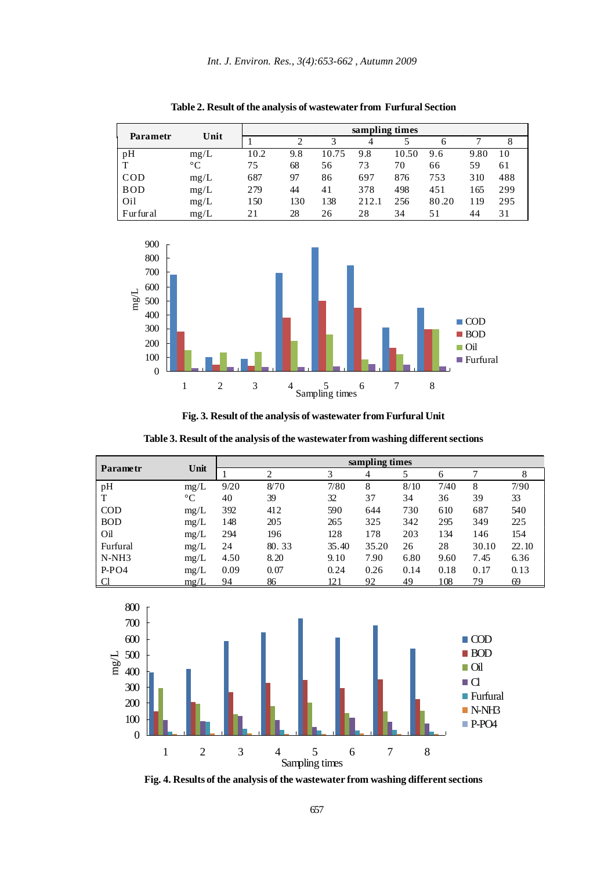|            |             | sampling times |     |       |       |       |       |      |     |
|------------|-------------|----------------|-----|-------|-------|-------|-------|------|-----|
| Parametr   | Unit        |                | ◠   |       | 4     |       | 6     |      | 8   |
| pH         | mg/L        | 10.2           | 9.8 | 10.75 | 9.8   | 10.50 | 9.6   | 9.80 | 10  |
|            | $^{\circ}C$ | 75             | 68  | 56    | 73    | 70    | 66    | 59   | 61  |
| COD        | mg/L        | 687            | 97  | 86    | 697   | 876   | 753   | 310  | 488 |
| <b>BOD</b> | mg/L        | 279            | 44  | 41    | 378   | 498   | 451   | .65  | 299 |
| Oil        | mg/L        | 150            | 130 | 138   | 212.1 | 256   | 80.20 | . 19 | 295 |
| Furfural   | mg/L        | 21             | 28  | 26    | 28    | 34    | 51    | 44   | 31  |

**Table 2. Result of the analysis of wastewater from Furfural Section**



**Fig. 3. Result of the analysis of wastewater from Furfural Unit**

**Table 3. Result of the analysis of the wastewater from washing different sections**

|                 |                 | sampling times |                               |       |       |      |      |       |       |  |
|-----------------|-----------------|----------------|-------------------------------|-------|-------|------|------|-------|-------|--|
| <b>Parametr</b> | Unit            |                | $\mathfrak{D}_{\mathfrak{p}}$ | 3     | 4     | 5    | 6    |       | 8     |  |
| pH              | mg/L            | 9/20           | 8/70                          | 7/80  | 8     | 8/10 | 7/40 | 8     | 7/90  |  |
| Т               | $\rm ^{\circ}C$ | 40             | 39                            | 32    | 37    | 34   | 36   | 39    | 33    |  |
| <b>COD</b>      | mg/L            | 392            | 412                           | 590   | 644   | 730  | 610  | 687   | 540   |  |
| <b>BOD</b>      | mg/L            | 148            | 205                           | 265   | 325   | 342  | 295  | 349   | 225   |  |
| Oil             | mg/L            | 294            | 196                           | 128   | 178   | 203  | 134  | 146   | 154   |  |
| Furfural        | mg/L            | 24             | 80.33                         | 35.40 | 35.20 | 26   | 28   | 30.10 | 22.10 |  |
| $N-NH3$         | mg/L            | 4.50           | 8.20                          | 9.10  | 7.90  | 6.80 | 9.60 | 7.45  | 6.36  |  |
| $P-PO4$         | mg/L            | 0.09           | 0.07                          | 0.24  | 0.26  | 0.14 | 0.18 | 0.17  | 0.13  |  |
|                 | mg/L            | 94             | 86                            | 121   | 92    | 49   | 108  | 79    | 69    |  |



**Fig. 4. Results of the analysis of the wastewater from washing different sections**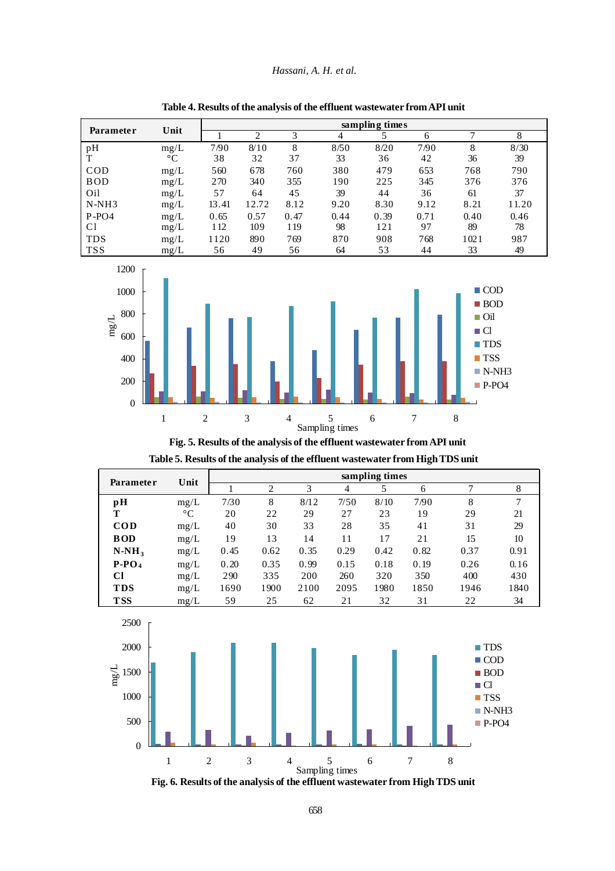#### *Hassani, A. H. et al.*

|            | Unit        | sampling times |       |      |      |      |      |      |       |  |
|------------|-------------|----------------|-------|------|------|------|------|------|-------|--|
| Parameter  |             |                | ◠     | 3    |      |      | 6    | ⇁    | 8     |  |
| pH         | mg/L        | 7/90           | 8/10  | 8    | 8/50 | 8/20 | 7/90 | 8    | 8/30  |  |
|            | $^{\circ}C$ | 38             | 32    | 37   | 33   | 36   | 42   | 36   | 39    |  |
| <b>COD</b> | mg/L        | 560            | 678   | 760  | 380  | 479  | 653  | 768  | 790   |  |
| <b>BOD</b> | mg/L        | 270            | 340   | 355  | 190  | 225  | 345  | 376  | 376   |  |
| Oil        | mg/L        | 57             | 64    | 45   | 39   | 44   | 36   | 61   | 37    |  |
| $N-NH3$    | mg/L        | 13.41          | 12.72 | 8.12 | 9.20 | 8.30 | 9.12 | 8.21 | 11.20 |  |
| $P-PO4$    | mg/L        | 0.65           | 0.57  | 0.47 | 0.44 | 0.39 | 0.71 | 0.40 | 0.46  |  |
| C1         | mg/L        | 112            | 109   | 119  | 98   | 121  | 97   | 89   | 78    |  |
| <b>TDS</b> | mg/L        | 1120           | 890   | 769  | 870  | 908  | 768  | 1021 | 987   |  |
| <b>TSS</b> | mg/L        | 56             | 49    | 56   | 64   | 53   | 44   | 33   | 49    |  |





**Fig. 5. Results of the analysis of the effluent wastewater from API unit**

| <b>Parameter</b> | Unit        | sampling times |      |      |                |      |      |      |      |
|------------------|-------------|----------------|------|------|----------------|------|------|------|------|
|                  |             |                | 2    | 3    | $\overline{4}$ | 5    | 6    | ⇁    | 8    |
| pH               | mg/L        | 7/30           | 8    | 8/12 | 7/50           | 8/10 | 7/90 | 8    | 7    |
| Т                | $^{\circ}C$ | 20             | 22   | 29   | 27             | 23   | 19   | 29   | 21   |
| <b>COD</b>       | mg/L        | 40             | 30   | 33   | 28             | 35   | 41   | 31   | 29   |
| <b>BOD</b>       | mg/L        | 19             | 13   | 14   | 11             | 17   | 21   | 15   | 10   |
| $N-NH_3$         | mg/L        | 0.45           | 0.62 | 0.35 | 0.29           | 0.42 | 0.82 | 0.37 | 0.91 |
| $P-PO4$          | mg/L        | 0.20           | 0.35 | 0.99 | 0.15           | 0.18 | 0.19 | 0.26 | 0.16 |
| Cl               | mg/L        | 290            | 335  | 200  | 260            | 320  | 350  | 400  | 430  |
| <b>TDS</b>       | mg/L        | 1690           | 1900 | 2100 | 2095           | 1980 | 1850 | 1946 | 1840 |
| <b>TSS</b>       | mg/L        | 59             | 25   | 62   | 21             | 32   | 31   | 22   | 34   |

**Table 5. Results of the analysis of the effluent wastewater from High TDS unit**



2500

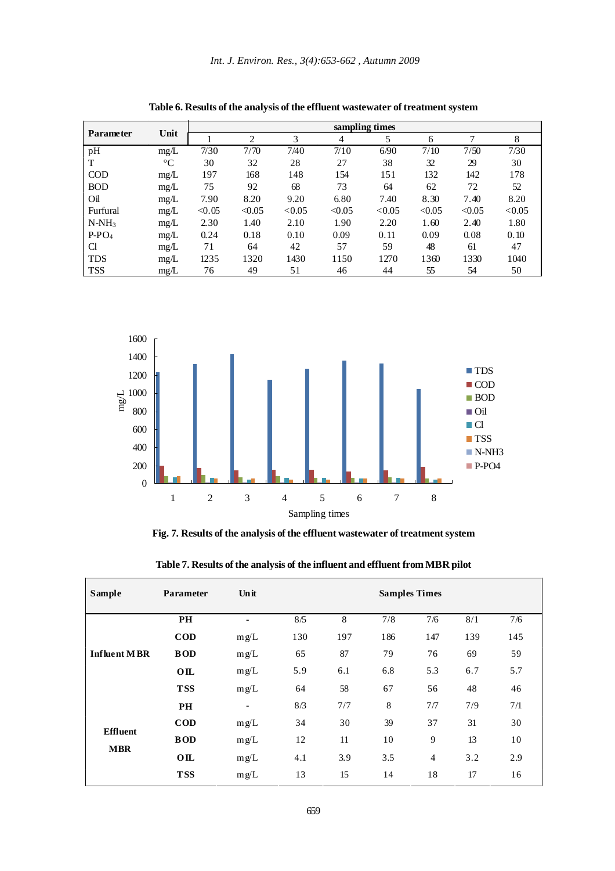|                  |                 |        | sampling times |        |        |        |        |        |        |  |
|------------------|-----------------|--------|----------------|--------|--------|--------|--------|--------|--------|--|
| <b>Parameter</b> | Unit            |        | 2              | 3      | 4      | 5      | 6      | ┑      | 8      |  |
| pH               | mg/L            | 7/30   | 7/70           | 7/40   | 7/10   | 6/90   | 7/10   | 7/50   | 7/30   |  |
| T                | $\rm ^{\circ}C$ | 30     | 32             | 28     | 27     | 38     | 32     | 29     | 30     |  |
| <b>COD</b>       | mg/L            | 197    | 168            | 148    | 154    | 151    | 132    | 142    | 178    |  |
| <b>BOD</b>       | mg/L            | 75     | 92             | 68     | 73     | 64     | 62     | 72     | 52     |  |
| Oil              | mg/L            | 7.90   | 8.20           | 9.20   | 6.80   | 7.40   | 8.30   | 7.40   | 8.20   |  |
| Furfural         | mg/L            | < 0.05 | < 0.05         | < 0.05 | < 0.05 | < 0.05 | < 0.05 | < 0.05 | < 0.05 |  |
| $N-NH_3$         | mg/L            | 2.30   | 1.40           | 2.10   | 1.90   | 2.20   | 1.60   | 2.40   | 1.80   |  |
| $P-PO4$          | mg/L            | 0.24   | 0.18           | 0.10   | 0.09   | 0.11   | 0.09   | 0.08   | 0.10   |  |
| <b>Cl</b>        | mg/L            | 71     | 64             | 42     | 57     | 59     | 48     | 61     | 47     |  |
| <b>TDS</b>       | mg/L            | 1235   | 1320           | 1430   | 1150   | 1270   | 1360   | 1330   | 1040   |  |
| <b>TSS</b>       | mg/L            | 76     | 49             | 51     | 46     | 44     | 55     | 54     | 50     |  |

**Table 6. Results of the analysis of the effluent wastewater of treatment system**



**Fig. 7. Results of the analysis of the effluent wastewater of treatment system**

| <b>Sample</b>       | Parameter      | Unit                     | <b>Samples Times</b> |     |     |                |     |     |  |  |
|---------------------|----------------|--------------------------|----------------------|-----|-----|----------------|-----|-----|--|--|
|                     | PH             | ٠                        | 8/5                  | 8   | 7/8 | 7/6            | 8/1 | 7/6 |  |  |
|                     | $\mathbf{COD}$ | mg/L                     | 130                  | 197 | 186 | 147            | 139 | 145 |  |  |
| <b>Influent MBR</b> | <b>BOD</b>     | mg/L                     | 65                   | 87  | 79  | 76             | 69  | 59  |  |  |
|                     | OIL            | mg/L                     | 5.9                  | 6.1 | 6.8 | 5.3            | 6.7 | 5.7 |  |  |
|                     | <b>TSS</b>     | mg/L                     | 64                   | 58  | 67  | 56             | 48  | 46  |  |  |
|                     | <b>PH</b>      | $\overline{\phantom{a}}$ | 8/3                  | 7/7 | 8   | 7/7            | 7/9 | 7/1 |  |  |
| <b>Effluent</b>     | $\mathbf{COD}$ | mg/L                     | 34                   | 30  | 39  | 37             | 31  | 30  |  |  |
|                     | <b>BOD</b>     | mg/L                     | 12                   | 11  | 10  | 9              | 13  | 10  |  |  |
| <b>MBR</b>          | OIL            | mg/L                     | 4.1                  | 3.9 | 3.5 | $\overline{4}$ | 3.2 | 2.9 |  |  |
|                     | <b>TSS</b>     | mg/L                     | 13                   | 15  | 14  | 18             | 17  | 16  |  |  |

**Table 7. Results of the analysis of the influent and effluent from MBR pilot**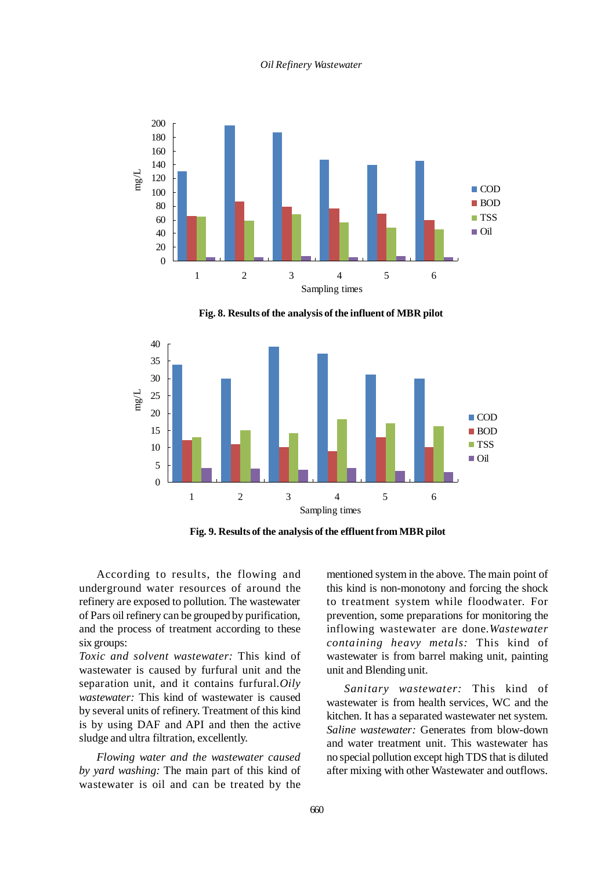#### *Oil Refinery Wastewater*



**Fig. 8. Results of the analysis of the influent of MBR pilot**



**Fig. 9. Results of the analysis of the effluent from MBR pilot**

According to results, the flowing and underground water resources of around the refinery are exposed to pollution. The wastewater of Pars oil refinery can be grouped by purification, and the process of treatment according to these six groups:

*Toxic and solvent wastewater:* This kind of wastewater is caused by furfural unit and the separation unit, and it contains furfural.*Oily wastewater:* This kind of wastewater is caused by several units of refinery. Treatment of this kind is by using DAF and API and then the active sludge and ultra filtration, excellently.

*Flowing water and the wastewater caused by yard washing:* The main part of this kind of wastewater is oil and can be treated by the

mentioned system in the above. The main point of this kind is non-monotony and forcing the shock to treatment system while floodwater. For prevention, some preparations for monitoring the inflowing wastewater are done.*Wastewater containing heavy metals:* This kind of wastewater is from barrel making unit, painting unit and Blending unit.

*Sanitary wastewater:* This kind of wastewater is from health services, WC and the kitchen. It has a separated wastewater net system. *Saline wastewater:* Generates from blow-down and water treatment unit. This wastewater has no special pollution except high TDS that is diluted after mixing with other Wastewater and outflows.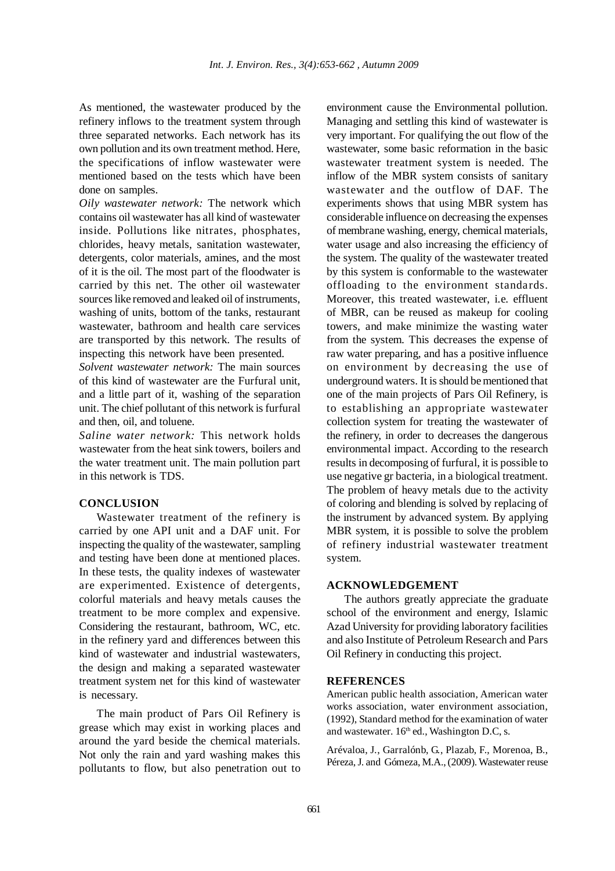As mentioned, the wastewater produced by the refinery inflows to the treatment system through three separated networks. Each network has its own pollution and its own treatment method. Here, the specifications of inflow wastewater were mentioned based on the tests which have been done on samples.

*Oily wastewater network:* The network which contains oil wastewater has all kind of wastewater inside. Pollutions like nitrates, phosphates, chlorides, heavy metals, sanitation wastewater, detergents, color materials, amines, and the most of it is the oil. The most part of the floodwater is carried by this net. The other oil wastewater sources like removed and leaked oil of instruments, washing of units, bottom of the tanks, restaurant wastewater, bathroom and health care services are transported by this network. The results of inspecting this network have been presented.

*Solvent wastewater network:* The main sources of this kind of wastewater are the Furfural unit, and a little part of it, washing of the separation unit. The chief pollutant of this network is furfural and then, oil, and toluene.

*Saline water network:* This network holds wastewater from the heat sink towers, boilers and the water treatment unit. The main pollution part in this network is TDS.

## **CONCLUSION**

Wastewater treatment of the refinery is carried by one API unit and a DAF unit. For inspecting the quality of the wastewater, sampling and testing have been done at mentioned places. In these tests, the quality indexes of wastewater are experimented. Existence of detergents, colorful materials and heavy metals causes the treatment to be more complex and expensive. Considering the restaurant, bathroom, WC, etc. in the refinery yard and differences between this kind of wastewater and industrial wastewaters, the design and making a separated wastewater treatment system net for this kind of wastewater is necessary.

The main product of Pars Oil Refinery is grease which may exist in working places and around the yard beside the chemical materials. Not only the rain and yard washing makes this pollutants to flow, but also penetration out to environment cause the Environmental pollution. Managing and settling this kind of wastewater is very important. For qualifying the out flow of the wastewater, some basic reformation in the basic wastewater treatment system is needed. The inflow of the MBR system consists of sanitary wastewater and the outflow of DAF. The experiments shows that using MBR system has considerable influence on decreasing the expenses of membrane washing, energy, chemical materials, water usage and also increasing the efficiency of the system. The quality of the wastewater treated by this system is conformable to the wastewater offloading to the environment standards. Moreover, this treated wastewater, i.e. effluent of MBR, can be reused as makeup for cooling towers, and make minimize the wasting water from the system. This decreases the expense of raw water preparing, and has a positive influence on environment by decreasing the use of underground waters. It is should be mentioned that one of the main projects of Pars Oil Refinery, is to establishing an appropriate wastewater collection system for treating the wastewater of the refinery, in order to decreases the dangerous environmental impact. According to the research results in decomposing of furfural, it is possible to use negative gr bacteria, in a biological treatment. The problem of heavy metals due to the activity of coloring and blending is solved by replacing of the instrument by advanced system. By applying MBR system, it is possible to solve the problem of refinery industrial wastewater treatment system.

# **ACKNOWLEDGEMENT**

The authors greatly appreciate the graduate school of the environment and energy, Islamic Azad University for providing laboratory facilities and also Institute of Petroleum Research and Pars Oil Refinery in conducting this project.

#### **REFERENCES**

American public health association, American water works association, water environment association, (1992), Standard method for the examination of water and wastewater.  $16<sup>th</sup>$  ed., Washington D.C, s.

Arévaloa, J., Garralónb, G., Plazab, F., Morenoa, B., Péreza, J. and Gómeza, M.A., (2009). Wastewater reuse